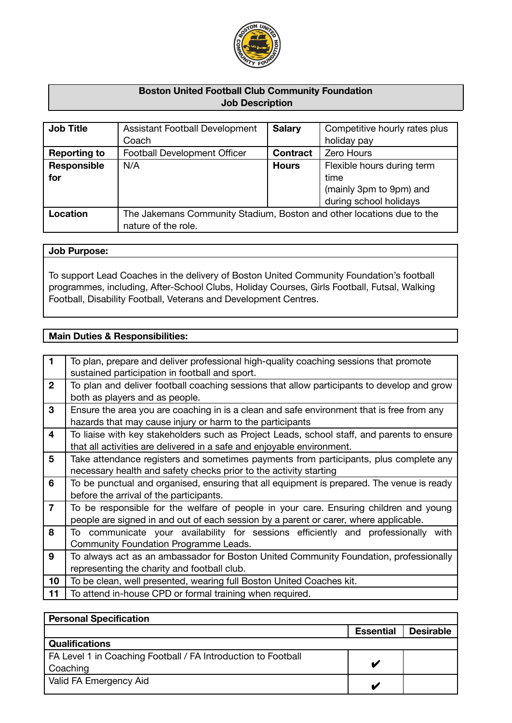

# **Boston United Football Club Community Foundation Job Description**

| <b>Job Title</b>    | <b>Assistant Football Development</b>                                 | <b>Salary</b>   | Competitive hourly rates plus |
|---------------------|-----------------------------------------------------------------------|-----------------|-------------------------------|
|                     | Coach                                                                 |                 | holiday pay                   |
| <b>Reporting to</b> | Football Development Officer                                          | <b>Contract</b> | Zero Hours                    |
| Responsible         | N/A                                                                   | <b>Hours</b>    | Flexible hours during term    |
| for                 |                                                                       |                 | time                          |
|                     |                                                                       |                 | (mainly 3pm to 9pm) and       |
|                     |                                                                       |                 | during school holidays        |
| Location            | The Jakemans Community Stadium, Boston and other locations due to the |                 |                               |
|                     | nature of the role.                                                   |                 |                               |

### **Job Purpose:**

To support Lead Coaches in the delivery of Boston United Community Foundation's football programmes, including, After-School Clubs, Holiday Courses, Girls Football, Futsal, Walking Football, Disability Football, Veterans and Development Centres.

# **Main Duties & Responsibilities:**

| $\mathbf{1}$    | To plan, prepare and deliver professional high-quality coaching sessions that promote<br>sustained participation in football and sport. |
|-----------------|-----------------------------------------------------------------------------------------------------------------------------------------|
| $\mathbf{2}$    | To plan and deliver football coaching sessions that allow participants to develop and grow                                              |
|                 | both as players and as people.                                                                                                          |
|                 |                                                                                                                                         |
| 3               | Ensure the area you are coaching in is a clean and safe environment that is free from any                                               |
|                 | hazards that may cause injury or harm to the participants                                                                               |
| 4               | To liaise with key stakeholders such as Project Leads, school staff, and parents to ensure                                              |
|                 | that all activities are delivered in a safe and enjoyable environment.                                                                  |
| 5               | Take attendance registers and sometimes payments from participants, plus complete any                                                   |
|                 | necessary health and safety checks prior to the activity starting                                                                       |
| 6               | To be punctual and organised, ensuring that all equipment is prepared. The venue is ready                                               |
|                 | before the arrival of the participants.                                                                                                 |
| $\overline{7}$  | To be responsible for the welfare of people in your care. Ensuring children and young                                                   |
|                 | people are signed in and out of each session by a parent or carer, where applicable.                                                    |
| 8               |                                                                                                                                         |
|                 | To communicate your availability for sessions efficiently and professionally with                                                       |
|                 | Community Foundation Programme Leads.                                                                                                   |
| 9               | To always act as an ambassador for Boston United Community Foundation, professionally                                                   |
|                 | representing the charity and football club.                                                                                             |
| 10 <sub>1</sub> | To be clean, well presented, wearing full Boston United Coaches kit.                                                                    |
| 11              | To attend in-house CPD or formal training when required.                                                                                |
|                 |                                                                                                                                         |

| <b>Personal Specification</b> |                  |  |
|-------------------------------|------------------|--|
| <b>Essential</b>              | <b>Desirable</b> |  |
|                               |                  |  |
|                               |                  |  |
|                               |                  |  |
|                               |                  |  |
|                               |                  |  |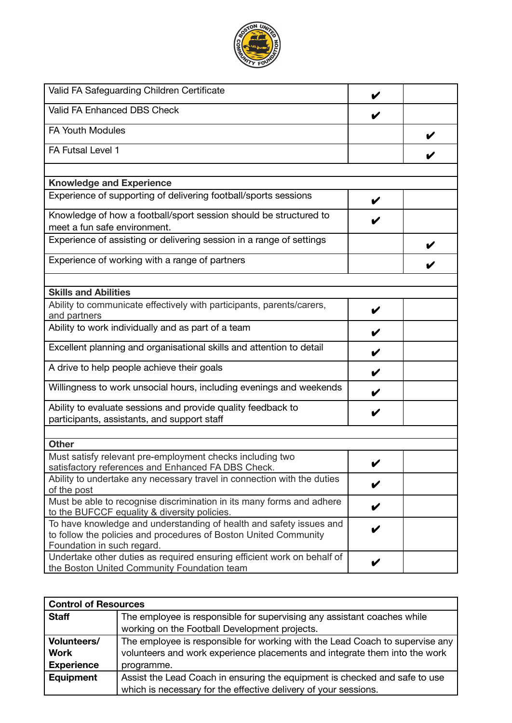

| Valid FA Safeguarding Children Certificate                                                                             | V |  |
|------------------------------------------------------------------------------------------------------------------------|---|--|
| Valid FA Enhanced DBS Check                                                                                            | V |  |
| <b>FA Youth Modules</b>                                                                                                |   |  |
| FA Futsal Level 1                                                                                                      |   |  |
|                                                                                                                        |   |  |
| <b>Knowledge and Experience</b>                                                                                        |   |  |
| Experience of supporting of delivering football/sports sessions                                                        | V |  |
| Knowledge of how a football/sport session should be structured to                                                      |   |  |
| meet a fun safe environment.                                                                                           |   |  |
| Experience of assisting or delivering session in a range of settings                                                   |   |  |
| Experience of working with a range of partners                                                                         |   |  |
|                                                                                                                        |   |  |
| <b>Skills and Abilities</b>                                                                                            |   |  |
| Ability to communicate effectively with participants, parents/carers,                                                  | V |  |
| and partners                                                                                                           |   |  |
| Ability to work individually and as part of a team                                                                     | V |  |
| Excellent planning and organisational skills and attention to detail                                                   | V |  |
| A drive to help people achieve their goals                                                                             | V |  |
| Willingness to work unsocial hours, including evenings and weekends                                                    | V |  |
| Ability to evaluate sessions and provide quality feedback to                                                           | V |  |
| participants, assistants, and support staff                                                                            |   |  |
|                                                                                                                        |   |  |
| <b>Other</b>                                                                                                           |   |  |
| Must satisfy relevant pre-employment checks including two<br>satisfactory references and Enhanced FA DBS Check.        |   |  |
| Ability to undertake any necessary travel in connection with the duties                                                |   |  |
| of the post                                                                                                            | V |  |
| Must be able to recognise discrimination in its many forms and adhere                                                  |   |  |
| to the BUFCCF equality & diversity policies.                                                                           | V |  |
| To have knowledge and understanding of health and safety issues and                                                    | V |  |
| to follow the policies and procedures of Boston United Community                                                       |   |  |
| Foundation in such regard.                                                                                             |   |  |
| Undertake other duties as required ensuring efficient work on behalf of<br>the Boston United Community Foundation team | V |  |

| <b>Control of Resources</b> |                                                                              |  |
|-----------------------------|------------------------------------------------------------------------------|--|
| <b>Staff</b>                | The employee is responsible for supervising any assistant coaches while      |  |
|                             | working on the Football Development projects.                                |  |
| <b>Volunteers/</b>          | The employee is responsible for working with the Lead Coach to supervise any |  |
| <b>Work</b>                 | volunteers and work experience placements and integrate them into the work   |  |
| <b>Experience</b>           | programme.                                                                   |  |
| Equipment                   | Assist the Lead Coach in ensuring the equipment is checked and safe to use   |  |
|                             | which is necessary for the effective delivery of your sessions.              |  |